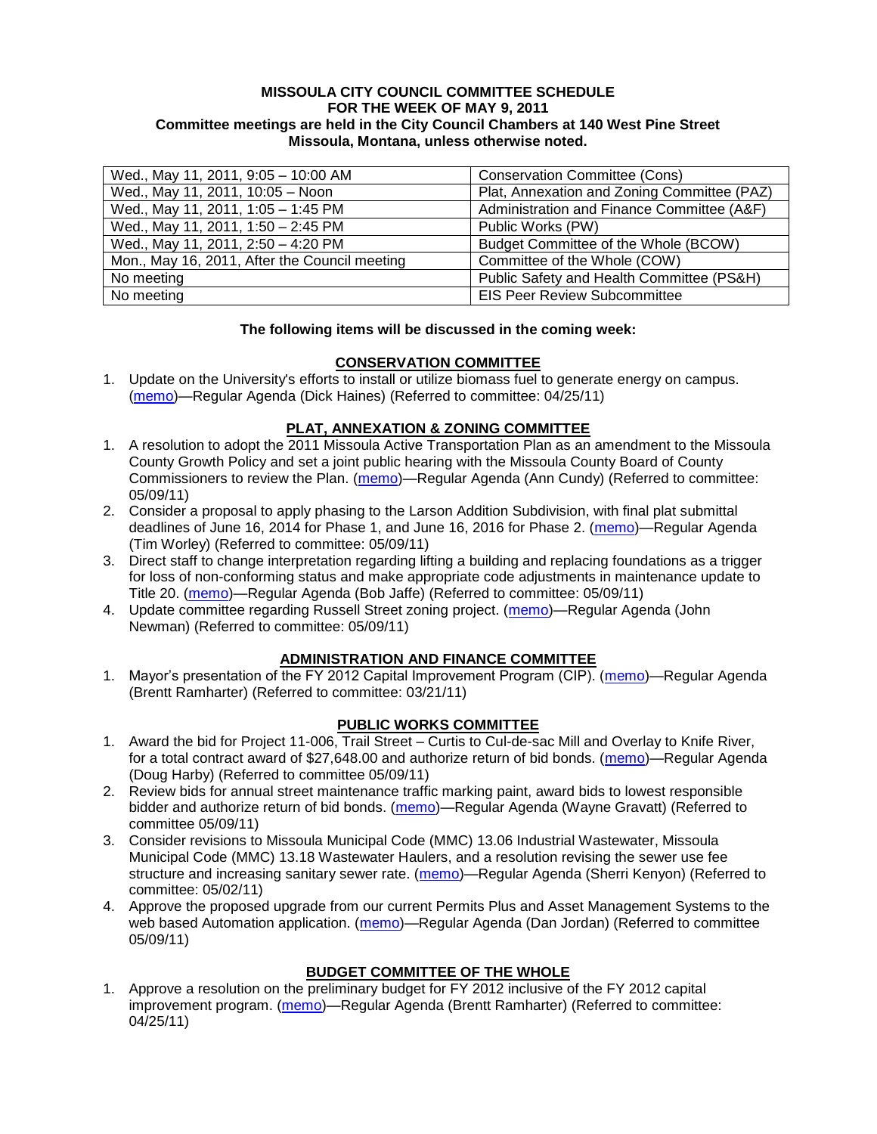#### **MISSOULA CITY COUNCIL COMMITTEE SCHEDULE FOR THE WEEK OF MAY 9, 2011 Committee meetings are held in the City Council Chambers at 140 West Pine Street Missoula, Montana, unless otherwise noted.**

| Wed., May 11, 2011, 9:05 - 10:00 AM           | <b>Conservation Committee (Cons)</b>        |
|-----------------------------------------------|---------------------------------------------|
| Wed., May 11, 2011, 10:05 - Noon              | Plat, Annexation and Zoning Committee (PAZ) |
| Wed., May 11, 2011, 1:05 - 1:45 PM            | Administration and Finance Committee (A&F)  |
| Wed., May 11, 2011, 1:50 - 2:45 PM            | Public Works (PW)                           |
| Wed., May 11, 2011, 2:50 - 4:20 PM            | Budget Committee of the Whole (BCOW)        |
| Mon., May 16, 2011, After the Council meeting | Committee of the Whole (COW)                |
| No meeting                                    | Public Safety and Health Committee (PS&H)   |
| No meeting                                    | <b>EIS Peer Review Subcommittee</b>         |

#### **The following items will be discussed in the coming week:**

#### **CONSERVATION COMMITTEE**

1. Update on the University's efforts to install or utilize biomass fuel to generate energy on campus. [\(memo\)](http://www.ci.missoula.mt.us/DocumentView.aspx?DID=6268)—Regular Agenda (Dick Haines) (Referred to committee: 04/25/11)

## **PLAT, ANNEXATION & ZONING COMMITTEE**

- 1. A resolution to adopt the 2011 Missoula Active Transportation Plan as an amendment to the Missoula County Growth Policy and set a joint public hearing with the Missoula County Board of County Commissioners to review the Plan. [\(memo\)](http://www.ci.missoula.mt.us/DocumentView.aspx?DID=6367)—Regular Agenda (Ann Cundy) (Referred to committee: 05/09/11)
- 2. Consider a proposal to apply phasing to the Larson Addition Subdivision, with final plat submittal deadlines of June 16, 2014 for Phase 1, and June 16, 2016 for Phase 2. [\(memo\)](http://www.ci.missoula.mt.us/DocumentView.aspx?DID=6366)—Regular Agenda (Tim Worley) (Referred to committee: 05/09/11)
- 3. Direct staff to change interpretation regarding lifting a building and replacing foundations as a trigger for loss of non-conforming status and make appropriate code adjustments in maintenance update to Title 20. [\(memo\)](http://www.ci.missoula.mt.us/DocumentView.aspx?DID=6353)—Regular Agenda (Bob Jaffe) (Referred to committee: 05/09/11)
- 4. Update committee regarding Russell Street zoning project. [\(memo\)](http://www.ci.missoula.mt.us/DocumentView.aspx?DID=6363)—Regular Agenda (John Newman) (Referred to committee: 05/09/11)

#### **ADMINISTRATION AND FINANCE COMMITTEE**

1. Mavor's presentation of the FY 2012 Capital Improvement Program (CIP). [\(memo\)](http://www.ci.missoula.mt.us/DocumentView.aspx?DID=5789)—Regular Agenda (Brentt Ramharter) (Referred to committee: 03/21/11)

## **PUBLIC WORKS COMMITTEE**

- 1. Award the bid for Project 11-006, Trail Street Curtis to Cul-de-sac Mill and Overlay to Knife River, for a total contract award of \$27,648.00 and authorize return of bid bonds. [\(memo\)](http://www.ci.missoula.mt.us/DocumentView.aspx?DID=6369)—Regular Agenda (Doug Harby) (Referred to committee 05/09/11)
- 2. Review bids for annual street maintenance traffic marking paint, award bids to lowest responsible bidder and authorize return of bid bonds. [\(memo\)](http://www.ci.missoula.mt.us/DocumentView.aspx?DID=6368)—Regular Agenda (Wayne Gravatt) (Referred to committee 05/09/11)
- 3. Consider revisions to Missoula Municipal Code (MMC) 13.06 Industrial Wastewater, Missoula Municipal Code (MMC) 13.18 Wastewater Haulers, and a resolution revising the sewer use fee structure and increasing sanitary sewer rate. [\(memo\)](http://www.ci.missoula.mt.us/DocumentView.aspx?DID=6322)—Regular Agenda (Sherri Kenyon) (Referred to committee: 05/02/11)
- 4. Approve the proposed upgrade from our current Permits Plus and Asset Management Systems to the web based Automation application. [\(memo\)](http://www.ci.missoula.mt.us/DocumentView.aspx?DID=6370)—Regular Agenda (Dan Jordan) (Referred to committee 05/09/11)

## **BUDGET COMMITTEE OF THE WHOLE**

1. Approve a resolution on the preliminary budget for FY 2012 inclusive of the FY 2012 capital improvement program. [\(memo\)](http://www.ci.missoula.mt.us/DocumentView.aspx?DID=6255)—Regular Agenda (Brentt Ramharter) (Referred to committee: 04/25/11)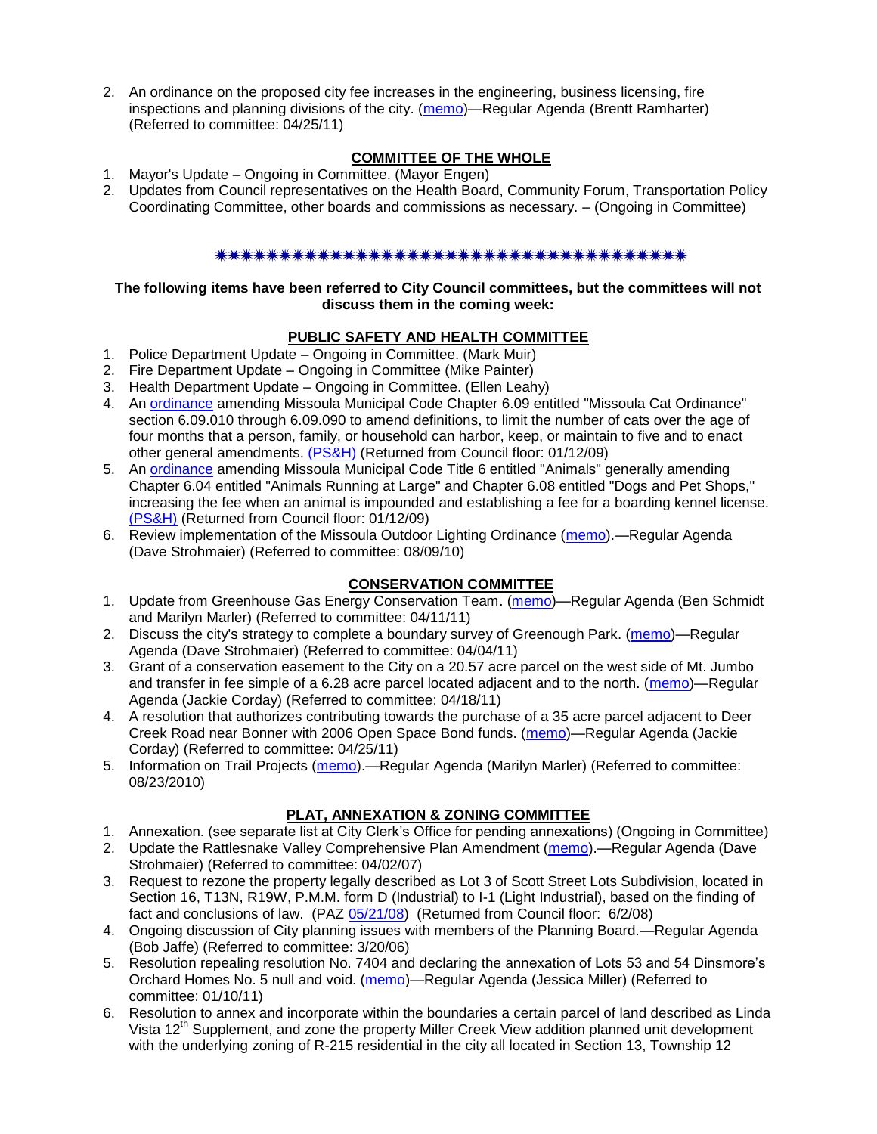2. An ordinance on the proposed city fee increases in the engineering, business licensing, fire inspections and planning divisions of the city. [\(memo\)](http://www.ci.missoula.mt.us/DocumentView.aspx?DID=6262)—Regular Agenda (Brentt Ramharter) (Referred to committee: 04/25/11)

# **COMMITTEE OF THE WHOLE**

- 1. Mayor's Update Ongoing in Committee. (Mayor Engen)
- 2. Updates from Council representatives on the Health Board, Community Forum, Transportation Policy Coordinating Committee, other boards and commissions as necessary. – (Ongoing in Committee)

# \*\*\*\*\*\*\*\*\*\*\*\*\*\*\*\*\*\*\*\*\*\*\*\*\*\*\*\*\*\*\*\*\*\*\*\*\*\*

#### **The following items have been referred to City Council committees, but the committees will not discuss them in the coming week:**

## **PUBLIC SAFETY AND HEALTH COMMITTEE**

- 1. Police Department Update Ongoing in Committee. (Mark Muir)
- 2. Fire Department Update Ongoing in Committee (Mike Painter)
- 3. Health Department Update Ongoing in Committee. (Ellen Leahy)
- 4. An [ordinance](ftp://ftp.ci.missoula.mt.us/Packets/Council/2008/2008-12-15/2008CatOrdinanceAmendment%5B1%5D.pdf) amending Missoula Municipal Code Chapter 6.09 entitled "Missoula Cat Ordinance" section 6.09.010 through 6.09.090 to amend definitions, to limit the number of cats over the age of four months that a person, family, or household can harbor, keep, or maintain to five and to enact other general amendments. [\(PS&H\)](ftp://ftp.ci.missoula.mt.us/Packets/Council/2008/2008-12-15/081210psh.pdf) (Returned from Council floor: 01/12/09)
- 5. An [ordinance](ftp://ftp.ci.missoula.mt.us/Packets/Council/2008/2008-12-15/DogOrdinance--PSHrevisions.pdf) amending Missoula Municipal Code Title 6 entitled "Animals" generally amending Chapter 6.04 entitled "Animals Running at Large" and Chapter 6.08 entitled "Dogs and Pet Shops," increasing the fee when an animal is impounded and establishing a fee for a boarding kennel license. [\(PS&H\)](ftp://ftp.ci.missoula.mt.us/Packets/Council/2008/2008-12-15/081210psh.pdf) (Returned from Council floor: 01/12/09)
- 6. Review implementation of the Missoula Outdoor Lighting Ordinance [\(memo\)](http://www.ci.missoula.mt.us/DocumentView.aspx?DID=4420).—Regular Agenda (Dave Strohmaier) (Referred to committee: 08/09/10)

## **CONSERVATION COMMITTEE**

- 1. Update from Greenhouse Gas Energy Conservation Team. [\(memo\)](http://www.ci.missoula.mt.us/DocumentView.aspx?DID=5945)—Regular Agenda (Ben Schmidt and Marilyn Marler) (Referred to committee: 04/11/11)
- 2. Discuss the city's strategy to complete a boundary survey of Greenough Park. [\(memo\)](http://www.ci.missoula.mt.us/DocumentView.aspx?DID=5875)—Regular Agenda (Dave Strohmaier) (Referred to committee: 04/04/11)
- 3. Grant of a conservation easement to the City on a 20.57 acre parcel on the west side of Mt. Jumbo and transfer in fee simple of a 6.28 acre parcel located adjacent and to the north. [\(memo\)](http://www.ci.missoula.mt.us/DocumentView.aspx?DID=6170)—Regular Agenda (Jackie Corday) (Referred to committee: 04/18/11)
- 4. A resolution that authorizes contributing towards the purchase of a 35 acre parcel adjacent to Deer Creek Road near Bonner with 2006 Open Space Bond funds. [\(memo\)](http://www.ci.missoula.mt.us/DocumentView.aspx?DID=6254)—Regular Agenda (Jackie Corday) (Referred to committee: 04/25/11)
- 5. Information on Trail Projects [\(memo\)](http://www.ci.missoula.mt.us/DocumentView.aspx?DID=4477).—Regular Agenda (Marilyn Marler) (Referred to committee: 08/23/2010)

## **PLAT, ANNEXATION & ZONING COMMITTEE**

- 1. Annexation. (see separate list at City Clerk's Office for pending annexations) (Ongoing in Committee)
- 2. Update the Rattlesnake Valley Comprehensive Plan Amendment [\(memo\)](ftp://ftp.ci.missoula.mt.us/Packets/Council/2007/2007-04-02/Referrals/Rattlesnake_Plan_Update_referral.pdf).—Regular Agenda (Dave Strohmaier) (Referred to committee: 04/02/07)
- 3. Request to rezone the property legally described as Lot 3 of Scott Street Lots Subdivision, located in Section 16, T13N, R19W, P.M.M. form D (Industrial) to I-1 (Light Industrial), based on the finding of fact and conclusions of law. (PAZ [05/21/08\)](ftp://ftp.ci.missoula.mt.us/Packets/Council/2008/2008-06-02/080521paz.pdf) (Returned from Council floor: 6/2/08)
- 4. Ongoing discussion of City planning issues with members of the Planning Board.—Regular Agenda (Bob Jaffe) (Referred to committee: 3/20/06)
- 5. Resolution repealing resolution No. 7404 and declaring the annexation of Lots 53 and 54 Dinsmore's Orchard Homes No. 5 null and void. [\(memo\)](http://www.ci.missoula.mt.us/DocumentView.aspx?DID=5349)—Regular Agenda (Jessica Miller) (Referred to committee: 01/10/11)
- 6. Resolution to annex and incorporate within the boundaries a certain parcel of land described as Linda Vista 12<sup>th</sup> Supplement, and zone the property Miller Creek View addition planned unit development with the underlying zoning of R-215 residential in the city all located in Section 13, Township 12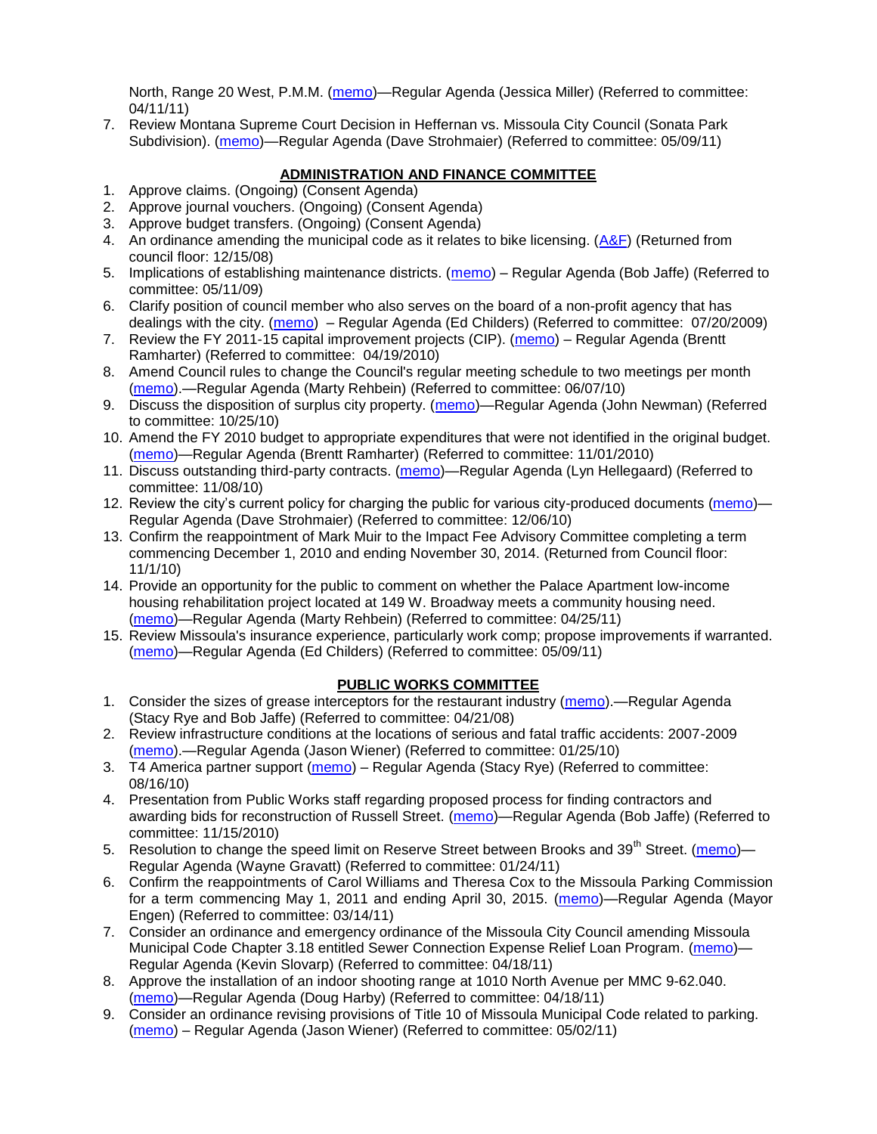North, Range 20 West, P.M.M. [\(memo\)](http://www.ci.missoula.mt.us/DocumentView.aspx?DID=5992)—Regular Agenda (Jessica Miller) (Referred to committee: 04/11/11)

7. Review Montana Supreme Court Decision in Heffernan vs. Missoula City Council (Sonata Park Subdivision). [\(memo\)](http://www.ci.missoula.mt.us/DocumentView.aspx?DID=6352)—Regular Agenda (Dave Strohmaier) (Referred to committee: 05/09/11)

# **ADMINISTRATION AND FINANCE COMMITTEE**

- 1. Approve claims. (Ongoing) (Consent Agenda)
- 2. Approve journal vouchers. (Ongoing) (Consent Agenda)
- 3. Approve budget transfers. (Ongoing) (Consent Agenda)
- 4. An ordinance amending the municipal code as it relates to bike licensing.  $(A\&F)$  (Returned from council floor: 12/15/08)
- 5. Implications of establishing maintenance districts. [\(memo\)](ftp://ftp.ci.missoula.mt.us/Packets/Council/2009/2009-05-11/Referrals/MaintenanceDistricts.pdf) Regular Agenda (Bob Jaffe) (Referred to committee: 05/11/09)
- 6. Clarify position of council member who also serves on the board of a non-profit agency that has dealings with the city. [\(memo\)](http://www.ci.missoula.mt.us/DocumentView.aspx?DID=1840) – Regular Agenda (Ed Childers) (Referred to committee: 07/20/2009)
- 7. Review the FY 2011-15 capital improvement projects (CIP). [\(memo\)](http://www.ci.missoula.mt.us/DocumentView.aspx?DID=3522) Regular Agenda (Brentt Ramharter) (Referred to committee: 04/19/2010)
- 8. Amend Council rules to change the Council's regular meeting schedule to two meetings per month [\(memo\)](http://www.ci.missoula.mt.us/DocumentView.aspx?DID=4027).—Regular Agenda (Marty Rehbein) (Referred to committee: 06/07/10)
- 9. Discuss the disposition of surplus city property. [\(memo\)](http://www.ci.missoula.mt.us/DocumentView.aspx?DID=4862)—Regular Agenda (John Newman) (Referred to committee: 10/25/10)
- 10. Amend the FY 2010 budget to appropriate expenditures that were not identified in the original budget. [\(memo\)](http://www.ci.missoula.mt.us/DocumentView.aspx?DID=4883)—Regular Agenda (Brentt Ramharter) (Referred to committee: 11/01/2010)
- 11. Discuss outstanding third-party contracts. [\(memo\)](http://www.ci.missoula.mt.us/DocumentView.aspx?DID=4956)—Regular Agenda (Lyn Hellegaard) (Referred to committee: 11/08/10)
- 12. Review the city's current policy for charging the public for various city-produced documents [\(memo\)](http://www.ci.missoula.mt.us/DocumentView.aspx?DID=5143) Regular Agenda (Dave Strohmaier) (Referred to committee: 12/06/10)
- 13. Confirm the reappointment of Mark Muir to the Impact Fee Advisory Committee completing a term commencing December 1, 2010 and ending November 30, 2014. (Returned from Council floor: 11/1/10)
- 14. Provide an opportunity for the public to comment on whether the Palace Apartment low-income housing rehabilitation project located at 149 W. Broadway meets a community housing need. [\(memo\)](http://www.ci.missoula.mt.us/DocumentView.aspx?DID=6257)—Regular Agenda (Marty Rehbein) (Referred to committee: 04/25/11)
- 15. Review Missoula's insurance experience, particularly work comp; propose improvements if warranted. [\(memo\)](http://www.ci.missoula.mt.us/DocumentView.aspx?DID=6381)—Regular Agenda (Ed Childers) (Referred to committee: 05/09/11)

## **PUBLIC WORKS COMMITTEE**

- 1. Consider the sizes of grease interceptors for the restaurant industry [\(memo\)](ftp://ftp.ci.missoula.mt.us/Packets/Council/2008/2008-04-21/Referrals/Industrial_waste_restaurants.pdf).—Regular Agenda (Stacy Rye and Bob Jaffe) (Referred to committee: 04/21/08)
- 2. Review infrastructure conditions at the locations of serious and fatal traffic accidents: 2007-2009 [\(memo\)](http://www.ci.missoula.mt.us/DocumentView.aspx?DID=3031).—Regular Agenda (Jason Wiener) (Referred to committee: 01/25/10)
- 3. T4 America partner support [\(memo\)](http://www.ci.missoula.mt.us/DocumentView.aspx?DID=4452) Regular Agenda (Stacy Rye) (Referred to committee: 08/16/10)
- 4. Presentation from Public Works staff regarding proposed process for finding contractors and awarding bids for reconstruction of Russell Street. [\(memo\)](http://www.ci.missoula.mt.us/DocumentView.aspx?DID=5042)—Regular Agenda (Bob Jaffe) (Referred to committee: 11/15/2010)
- 5. Resolution to change the speed limit on Reserve Street between Brooks and 39<sup>th</sup> Street. [\(memo\)](http://www.ci.missoula.mt.us/DocumentView.aspx?DID=5418) Regular Agenda (Wayne Gravatt) (Referred to committee: 01/24/11)
- 6. Confirm the reappointments of Carol Williams and Theresa Cox to the Missoula Parking Commission for a term commencing May 1, 2011 and ending April 30, 2015. [\(memo\)](http://www.ci.missoula.mt.us/DocumentView.aspx?DID=5727)—Regular Agenda (Mayor Engen) (Referred to committee: 03/14/11)
- 7. Consider an ordinance and emergency ordinance of the Missoula City Council amending Missoula Municipal Code Chapter 3.18 entitled Sewer Connection Expense Relief Loan Program. [\(memo\)](http://www.ci.missoula.mt.us/DocumentView.aspx?DID=6161)— Regular Agenda (Kevin Slovarp) (Referred to committee: 04/18/11)
- 8. Approve the installation of an indoor shooting range at 1010 North Avenue per MMC 9-62.040. [\(memo\)](http://www.ci.missoula.mt.us/DocumentView.aspx?DID=6173)—Regular Agenda (Doug Harby) (Referred to committee: 04/18/11)
- 9. Consider an ordinance revising provisions of Title 10 of Missoula Municipal Code related to parking. [\(memo\)](http://www.ci.missoula.mt.us/DocumentView.aspx?DID=6329) – Regular Agenda (Jason Wiener) (Referred to committee: 05/02/11)